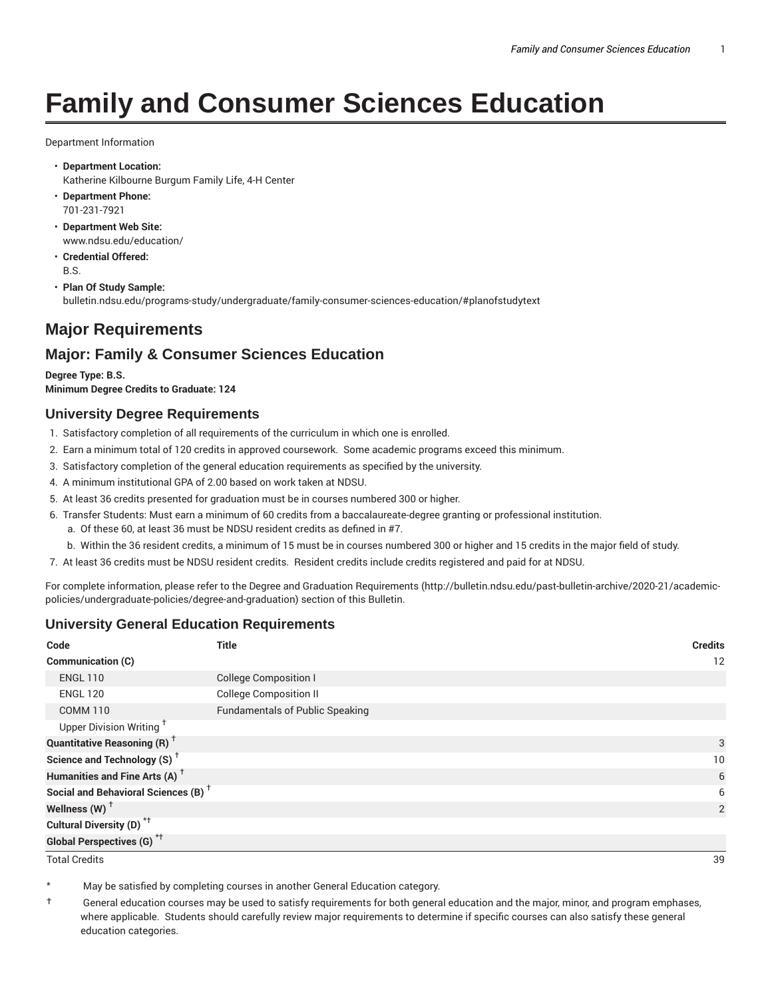# **Family and Consumer Sciences Education**

Department Information

- **Department Location:** Katherine Kilbourne Burgum Family Life, 4-H Center
- **Department Phone:** 701-231-7921
- **Department Web Site:** www.ndsu.edu/education/
- **Credential Offered:** B.S.
- **Plan Of Study Sample:** bulletin.ndsu.edu/programs-study/undergraduate/family-consumer-sciences-education/#planofstudytext

# **Major Requirements**

# **Major: Family & Consumer Sciences Education**

**Degree Type: B.S. Minimum Degree Credits to Graduate: 124**

#### **University Degree Requirements**

- 1. Satisfactory completion of all requirements of the curriculum in which one is enrolled.
- 2. Earn a minimum total of 120 credits in approved coursework. Some academic programs exceed this minimum.
- 3. Satisfactory completion of the general education requirements as specified by the university.
- 4. A minimum institutional GPA of 2.00 based on work taken at NDSU.
- 5. At least 36 credits presented for graduation must be in courses numbered 300 or higher.
- 6. Transfer Students: Must earn a minimum of 60 credits from a baccalaureate-degree granting or professional institution.
	- a. Of these 60, at least 36 must be NDSU resident credits as defined in #7.
	- b. Within the 36 resident credits, a minimum of 15 must be in courses numbered 300 or higher and 15 credits in the major field of study.
- 7. At least 36 credits must be NDSU resident credits. Resident credits include credits registered and paid for at NDSU.

For complete information, please refer to the Degree and Graduation Requirements (http://bulletin.ndsu.edu/past-bulletin-archive/2020-21/academicpolicies/undergraduate-policies/degree-and-graduation) section of this Bulletin.

### **University General Education Requirements**

| Code                                            | <b>Title</b>                           | <b>Credits</b> |
|-------------------------------------------------|----------------------------------------|----------------|
| <b>Communication (C)</b>                        |                                        | 12             |
| <b>ENGL 110</b>                                 | <b>College Composition I</b>           |                |
| <b>ENGL 120</b>                                 | <b>College Composition II</b>          |                |
| <b>COMM 110</b>                                 | <b>Fundamentals of Public Speaking</b> |                |
| Upper Division Writing <sup>†</sup>             |                                        |                |
| <b>Quantitative Reasoning (R)</b> <sup>†</sup>  |                                        | 3              |
| Science and Technology (S) <sup>+</sup>         |                                        | 10             |
| Humanities and Fine Arts (A) <sup>+</sup>       |                                        | 6              |
| Social and Behavioral Sciences (B) <sup>+</sup> |                                        | 6              |
| Wellness $(W)$ <sup>+</sup>                     |                                        | 2              |
| Cultural Diversity (D) <sup>*†</sup>            |                                        |                |
| <b>Global Perspectives (G)<sup>*†</sup></b>     |                                        |                |

Total Credits 39

May be satisfied by completing courses in another General Education category.

† General education courses may be used to satisfy requirements for both general education and the major, minor, and program emphases, where applicable. Students should carefully review major requirements to determine if specific courses can also satisfy these general education categories.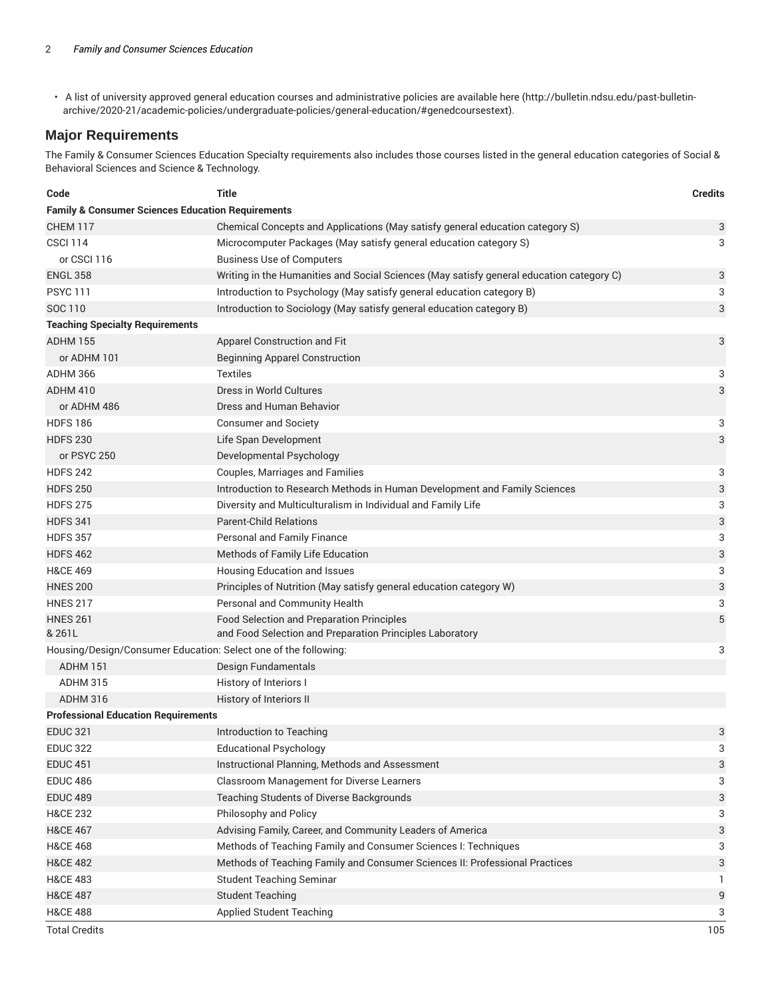• A list of university approved general education courses and administrative policies are available here (http://bulletin.ndsu.edu/past-bulletinarchive/2020-21/academic-policies/undergraduate-policies/general-education/#genedcoursestext).

## **Major Requirements**

The Family & Consumer Sciences Education Specialty requirements also includes those courses listed in the general education categories of Social & Behavioral Sciences and Science & Technology.

| Code                                                                 | Title                                                                                    | <b>Credits</b> |  |
|----------------------------------------------------------------------|------------------------------------------------------------------------------------------|----------------|--|
| <b>Family &amp; Consumer Sciences Education Requirements</b>         |                                                                                          |                |  |
| <b>CHEM 117</b>                                                      | Chemical Concepts and Applications (May satisfy general education category S)            | 3              |  |
| <b>CSCI 114</b>                                                      | Microcomputer Packages (May satisfy general education category S)                        | 3              |  |
| or CSCI 116                                                          | <b>Business Use of Computers</b>                                                         |                |  |
| <b>ENGL 358</b>                                                      | Writing in the Humanities and Social Sciences (May satisfy general education category C) | 3              |  |
| <b>PSYC 111</b>                                                      | Introduction to Psychology (May satisfy general education category B)                    | 3              |  |
| SOC 110                                                              | Introduction to Sociology (May satisfy general education category B)                     | 3              |  |
| <b>Teaching Specialty Requirements</b>                               |                                                                                          |                |  |
| <b>ADHM 155</b>                                                      | Apparel Construction and Fit                                                             | 3              |  |
| or ADHM 101                                                          | <b>Beginning Apparel Construction</b>                                                    |                |  |
| <b>ADHM 366</b>                                                      | <b>Textiles</b>                                                                          | 3              |  |
| ADHM 410                                                             | Dress in World Cultures                                                                  | 3              |  |
| or ADHM 486                                                          | Dress and Human Behavior                                                                 |                |  |
| <b>HDFS 186</b>                                                      | <b>Consumer and Society</b>                                                              | 3              |  |
| <b>HDFS 230</b>                                                      | Life Span Development                                                                    | 3              |  |
| or PSYC 250                                                          | Developmental Psychology                                                                 |                |  |
| <b>HDFS 242</b>                                                      | Couples, Marriages and Families                                                          | 3              |  |
| <b>HDFS 250</b>                                                      | Introduction to Research Methods in Human Development and Family Sciences                | 3              |  |
| <b>HDFS 275</b>                                                      | Diversity and Multiculturalism in Individual and Family Life                             | 3              |  |
| <b>HDFS 341</b>                                                      | <b>Parent-Child Relations</b>                                                            | 3              |  |
| <b>HDFS 357</b>                                                      | Personal and Family Finance                                                              | 3              |  |
| <b>HDFS 462</b>                                                      | Methods of Family Life Education                                                         | 3              |  |
| <b>H&amp;CE 469</b>                                                  | Housing Education and Issues                                                             | 3              |  |
| <b>HNES 200</b>                                                      | Principles of Nutrition (May satisfy general education category W)                       | 3              |  |
| <b>HNES 217</b>                                                      | Personal and Community Health                                                            | 3              |  |
| <b>HNES 261</b>                                                      | Food Selection and Preparation Principles                                                | 5              |  |
| & 261L                                                               | and Food Selection and Preparation Principles Laboratory                                 |                |  |
| Housing/Design/Consumer Education: Select one of the following:<br>3 |                                                                                          |                |  |
| ADHM 151                                                             | Design Fundamentals                                                                      |                |  |
| <b>ADHM 315</b>                                                      | History of Interiors I                                                                   |                |  |
| <b>ADHM 316</b>                                                      | History of Interiors II                                                                  |                |  |
| <b>Professional Education Requirements</b>                           |                                                                                          |                |  |
| <b>EDUC 321</b>                                                      | Introduction to Teaching                                                                 | 3              |  |
| <b>EDUC 322</b>                                                      | <b>Educational Psychology</b>                                                            | 3              |  |
| <b>EDUC 451</b>                                                      | Instructional Planning, Methods and Assessment                                           | 3              |  |
| <b>EDUC 486</b>                                                      | Classroom Management for Diverse Learners                                                | 3              |  |
| <b>EDUC 489</b>                                                      | Teaching Students of Diverse Backgrounds                                                 | 3              |  |
| <b>H&amp;CE 232</b>                                                  | Philosophy and Policy                                                                    | 3              |  |
| <b>H&amp;CE 467</b>                                                  | Advising Family, Career, and Community Leaders of America                                | 3              |  |
| <b>H&amp;CE 468</b>                                                  | Methods of Teaching Family and Consumer Sciences I: Techniques                           | 3              |  |
| <b>H&amp;CE 482</b>                                                  | Methods of Teaching Family and Consumer Sciences II: Professional Practices              | 3              |  |
| <b>H&amp;CE 483</b>                                                  | <b>Student Teaching Seminar</b>                                                          | 1              |  |
| <b>H&amp;CE 487</b>                                                  | <b>Student Teaching</b>                                                                  | 9              |  |
| <b>H&amp;CE 488</b>                                                  | <b>Applied Student Teaching</b>                                                          | 3              |  |
| <b>Total Credits</b>                                                 |                                                                                          | 105            |  |